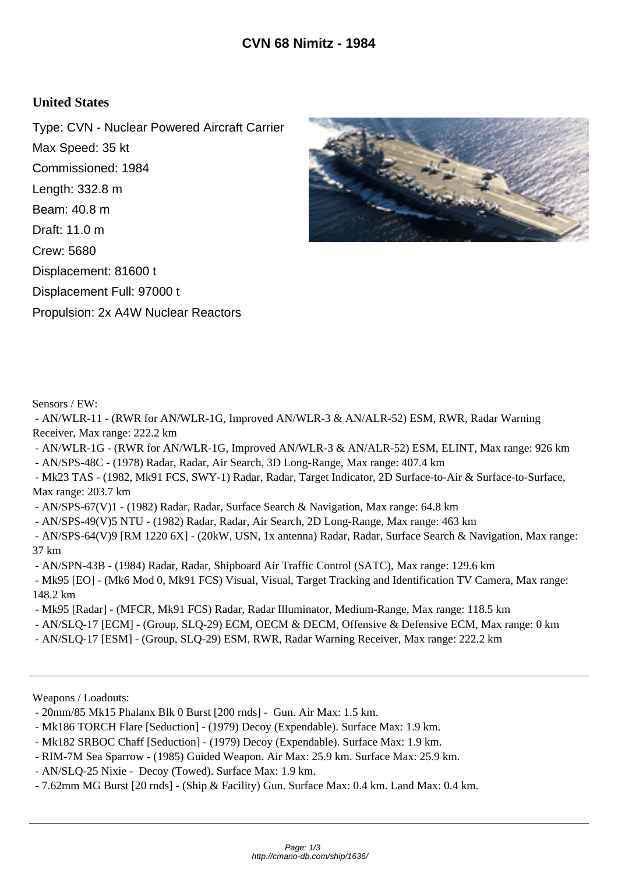## **United States**

Type: CVN - Nuclear Powered Aircraft Carrier Max Speed: 35 kt Commissioned: 1984 Length: 332.8 m Beam: 40.8 m Draft: 11.0 m Crew: 5680 Displacement: 81600 t Displacement Full: 97000 t Propulsion: 2x A4W Nuclear Reactors



Sensors / EW:

 - AN/WLR-11 - (RWR for AN/WLR-1G, Improved AN/WLR-3 & AN/ALR-52) ESM, RWR, Radar Warning Receiver, Max range: 222.2 km

 - AN/WLR-1G - (RWR for AN/WLR-1G, Improved AN/WLR-3 & AN/ALR-52) ESM, ELINT, Max range: 926 km - AN/SPS-48C - (1978) Radar, Radar, Air Search, 3D Long-Range, Max range: 407.4 km

 - Mk23 TAS - (1982, Mk91 FCS, SWY-1) Radar, Radar, Target Indicator, 2D Surface-to-Air & Surface-to-Surface, Max range: 203.7 km

- AN/SPS-67(V)1 - (1982) Radar, Radar, Surface Search & Navigation, Max range: 64.8 km

- AN/SPS-49(V)5 NTU - (1982) Radar, Radar, Air Search, 2D Long-Range, Max range: 463 km

 - AN/SPS-64(V)9 [RM 1220 6X] - (20kW, USN, 1x antenna) Radar, Radar, Surface Search & Navigation, Max range: 37 km

- AN/SPN-43B - (1984) Radar, Radar, Shipboard Air Traffic Control (SATC), Max range: 129.6 km

 - Mk95 [EO] - (Mk6 Mod 0, Mk91 FCS) Visual, Visual, Target Tracking and Identification TV Camera, Max range: 148.2 km

- Mk95 [Radar] - (MFCR, Mk91 FCS) Radar, Radar Illuminator, Medium-Range, Max range: 118.5 km

- AN/SLQ-17 [ECM] - (Group, SLQ-29) ECM, OECM & DECM, Offensive & Defensive ECM, Max range: 0 km

- AN/SLQ-17 [ESM] - (Group, SLQ-29) ESM, RWR, Radar Warning Receiver, Max range: 222.2 km

Weapons / Loadouts:

- 20mm/85 Mk15 Phalanx Blk 0 Burst [200 rnds] - Gun. Air Max: 1.5 km.

- Mk186 TORCH Flare [Seduction] - (1979) Decoy (Expendable). Surface Max: 1.9 km.

- Mk182 SRBOC Chaff [Seduction] - (1979) Decoy (Expendable). Surface Max: 1.9 km.

- RIM-7M Sea Sparrow - (1985) Guided Weapon. Air Max: 25.9 km. Surface Max: 25.9 km.

- AN/SLQ-25 Nixie - Decoy (Towed). Surface Max: 1.9 km.

- 7.62mm MG Burst [20 rnds] - (Ship & Facility) Gun. Surface Max: 0.4 km. Land Max: 0.4 km.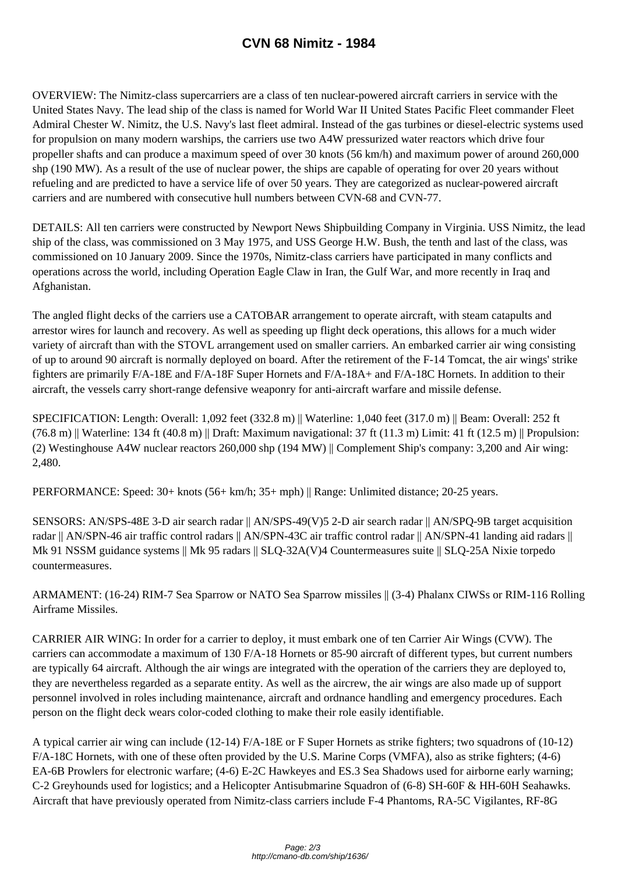OVERVIEW: The Nimitz-class supercarriers [are a class of ten nuclear-pow](http://cmano-db.com/ship/1636/)ered aircraft carriers in service with the United States Navy. The lead ship of the class is named for World War II United States Pacific Fleet commander Fleet Admiral Chester W. Nimitz, the U.S. Navy's last fleet admiral. Instead of the gas turbines or diesel-electric systems used for propulsion on many modern warships, the carriers use two A4W pressurized water reactors which drive four propeller shafts and can produce a maximum speed of over 30 knots (56 km/h) and maximum power of around 260,000 shp (190 MW). As a result of the use of nuclear power, the ships are capable of operating for over 20 years without refueling and are predicted to have a service life of over 50 years. They are categorized as nuclear-powered aircraft carriers and are numbered with consecutive hull numbers between CVN-68 and CVN-77.

DETAILS: All ten carriers were constructed by Newport News Shipbuilding Company in Virginia. USS Nimitz, the lead ship of the class, was commissioned on 3 May 1975, and USS George H.W. Bush, the tenth and last of the class, was commissioned on 10 January 2009. Since the 1970s, Nimitz-class carriers have participated in many conflicts and operations across the world, including Operation Eagle Claw in Iran, the Gulf War, and more recently in Iraq and Afghanistan.

The angled flight decks of the carriers use a CATOBAR arrangement to operate aircraft, with steam catapults and arrestor wires for launch and recovery. As well as speeding up flight deck operations, this allows for a much wider variety of aircraft than with the STOVL arrangement used on smaller carriers. An embarked carrier air wing consisting of up to around 90 aircraft is normally deployed on board. After the retirement of the F-14 Tomcat, the air wings' strike fighters are primarily F/A-18E and F/A-18F Super Hornets and F/A-18A+ and F/A-18C Hornets. In addition to their aircraft, the vessels carry short-range defensive weaponry for anti-aircraft warfare and missile defense.

SPECIFICATION: Length: Overall: 1,092 feet (332.8 m) || Waterline: 1,040 feet (317.0 m) || Beam: Overall: 252 ft  $(76.8 \text{ m})$  || Waterline: 134 ft (40.8 m) || Draft: Maximum navigational: 37 ft (11.3 m) Limit: 41 ft (12.5 m) || Propulsion: (2) Westinghouse A4W nuclear reactors 260,000 shp (194 MW) || Complement Ship's company: 3,200 and Air wing: 2,480.

PERFORMANCE: Speed: 30+ knots (56+ km/h; 35+ mph) || Range: Unlimited distance; 20-25 years.

SENSORS: AN/SPS-48E 3-D air search radar || AN/SPS-49(V)5 2-D air search radar || AN/SPQ-9B target acquisition radar || AN/SPN-46 air traffic control radars || AN/SPN-43C air traffic control radar || AN/SPN-41 landing aid radars || Mk 91 NSSM guidance systems || Mk 95 radars || SLQ-32A(V)4 Countermeasures suite || SLQ-25A Nixie torpedo countermeasures.

ARMAMENT: (16-24) RIM-7 Sea Sparrow or NATO Sea Sparrow missiles || (3-4) Phalanx CIWSs or RIM-116 Rolling Airframe Missiles.

CARRIER AIR WING: In order for a carrier to deploy, it must embark one of ten Carrier Air Wings (CVW). The carriers can accommodate a maximum of 130 F/A-18 Hornets or 85-90 aircraft of different types, but current numbers are typically 64 aircraft. Although the air wings are integrated with the operation of the carriers they are deployed to, they are nevertheless regarded as a separate entity. As well as the aircrew, the air wings are also made up of support personnel involved in roles including maintenance, aircraft and ordnance handling and emergency procedures. Each person on the flight deck wears color-coded clothing to make their role easily identifiable.

A typical carrier air wing can include (12-14) F/A-18E or F Super Hornets as strike fighters; two squadrons of (10-12) F/A-18C Hornets, with one of these often provided by the U.S. Marine Corps (VMFA), also as strike fighters; (4-6) EA-6B Prowlers for electronic warfare; (4-6) E-2C Hawkeyes and ES.3 Sea Shadows used for airborne early warning; C-2 Greyhounds used for logistics; and a Helicopter Antisubmarine Squadron of (6-8) SH-60F & HH-60H Seahawks. Aircraft that have previously operated from Nimitz-class carriers include F-4 Phantoms, RA-5C Vigilantes, RF-8G